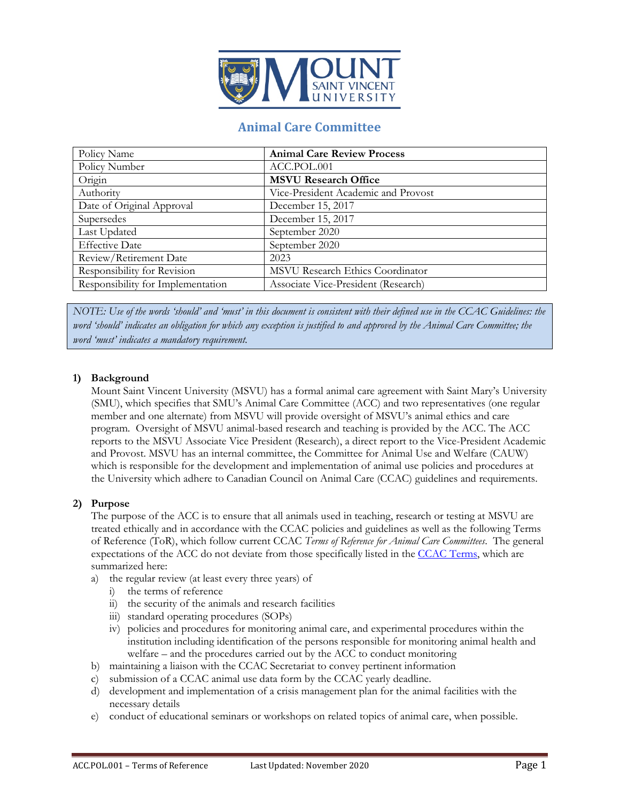

# **Animal Care Committee**

| Policy Name                       | <b>Animal Care Review Process</b>   |
|-----------------------------------|-------------------------------------|
| Policy Number                     | ACC.POL.001                         |
| Origin                            | <b>MSVU Research Office</b>         |
| Authority                         | Vice-President Academic and Provost |
| Date of Original Approval         | December 15, 2017                   |
| Supersedes                        | December 15, 2017                   |
| Last Updated                      | September 2020                      |
| <b>Effective Date</b>             | September 2020                      |
| Review/Retirement Date            | 2023                                |
| Responsibility for Revision       | MSVU Research Ethics Coordinator    |
| Responsibility for Implementation | Associate Vice-President (Research) |

*NOTE: Use of the words 'should' and 'must' in this document is consistent with their defined use in the CCAC Guidelines: the word 'should' indicates an obligation for which any exception is justified to and approved by the Animal Care Committee; the word 'must' indicates a mandatory requirement.*

## **1) Background**

Mount Saint Vincent University (MSVU) has a formal animal care agreement with Saint Mary's University (SMU), which specifies that SMU's Animal Care Committee (ACC) and two representatives (one regular member and one alternate) from MSVU will provide oversight of MSVU's animal ethics and care program. Oversight of MSVU animal-based research and teaching is provided by the ACC. The ACC reports to the MSVU Associate Vice President (Research), a direct report to the Vice-President Academic and Provost. MSVU has an internal committee, the Committee for Animal Use and Welfare (CAUW) which is responsible for the development and implementation of animal use policies and procedures at the University which adhere to Canadian Council on Animal Care (CCAC) guidelines and requirements.

#### **2) Purpose**

The purpose of the ACC is to ensure that all animals used in teaching, research or testing at MSVU are treated ethically and in accordance with the CCAC policies and guidelines as well as the following Terms of Reference (ToR), which follow current CCAC *Terms of Reference for Animal Care Committees*. The general expectations of the ACC do not deviate from those specifically listed in th[e CCAC Terms,](https://www.ccac.ca/Documents/Standards/Policies/Terms_of_reference_for_ACC.pdf) which are summarized here:

- a) the regular review (at least every three years) of
	- i) the terms of reference
	- ii) the security of the animals and research facilities
	- iii) standard operating procedures (SOPs)
	- iv) policies and procedures for monitoring animal care, and experimental procedures within the institution including identification of the persons responsible for monitoring animal health and welfare – and the procedures carried out by the ACC to conduct monitoring
- b) maintaining a liaison with the CCAC Secretariat to convey pertinent information
- c) submission of a CCAC animal use data form by the CCAC yearly deadline.
- d) development and implementation of a crisis management plan for the animal facilities with the necessary details
- e) conduct of educational seminars or workshops on related topics of animal care, when possible.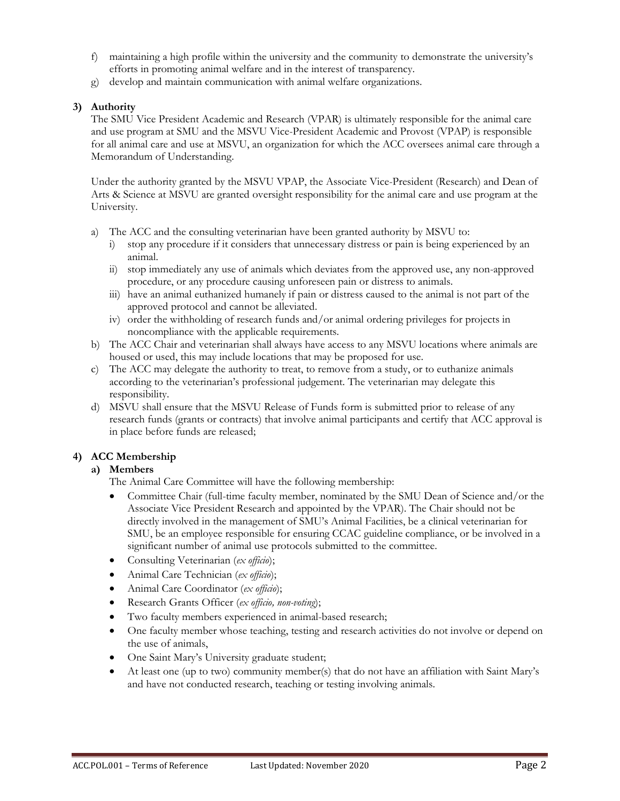- f) maintaining a high profile within the university and the community to demonstrate the university's efforts in promoting animal welfare and in the interest of transparency.
- g) develop and maintain communication with animal welfare organizations.

# **3) Authority**

The SMU Vice President Academic and Research (VPAR) is ultimately responsible for the animal care and use program at SMU and the MSVU Vice-President Academic and Provost (VPAP) is responsible for all animal care and use at MSVU, an organization for which the ACC oversees animal care through a Memorandum of Understanding.

Under the authority granted by the MSVU VPAP, the Associate Vice-President (Research) and Dean of Arts & Science at MSVU are granted oversight responsibility for the animal care and use program at the University.

- a) The ACC and the consulting veterinarian have been granted authority by MSVU to:
	- i) stop any procedure if it considers that unnecessary distress or pain is being experienced by an animal.
	- ii) stop immediately any use of animals which deviates from the approved use, any non-approved procedure, or any procedure causing unforeseen pain or distress to animals.
	- iii) have an animal euthanized humanely if pain or distress caused to the animal is not part of the approved protocol and cannot be alleviated.
	- iv) order the withholding of research funds and/or animal ordering privileges for projects in noncompliance with the applicable requirements.
- b) The ACC Chair and veterinarian shall always have access to any MSVU locations where animals are housed or used, this may include locations that may be proposed for use.
- c) The ACC may delegate the authority to treat, to remove from a study, or to euthanize animals according to the veterinarian's professional judgement. The veterinarian may delegate this responsibility.
- d) MSVU shall ensure that the MSVU Release of Funds form is submitted prior to release of any research funds (grants or contracts) that involve animal participants and certify that ACC approval is in place before funds are released;

# **4) ACC Membership**

# **a) Members**

The Animal Care Committee will have the following membership:

- Committee Chair (full-time faculty member, nominated by the SMU Dean of Science and/or the Associate Vice President Research and appointed by the VPAR). The Chair should not be directly involved in the management of SMU's Animal Facilities, be a clinical veterinarian for SMU, be an employee responsible for ensuring CCAC guideline compliance, or be involved in a significant number of animal use protocols submitted to the committee.
- Consulting Veterinarian (*ex officio*);
- Animal Care Technician (*ex officio*);
- Animal Care Coordinator (*ex officio*);
- Research Grants Officer (*ex officio, non-voting*);
- Two faculty members experienced in animal-based research;
- One faculty member whose teaching, testing and research activities do not involve or depend on the use of animals,
- One Saint Mary's University graduate student;
- At least one (up to two) community member(s) that do not have an affiliation with Saint Mary's and have not conducted research, teaching or testing involving animals.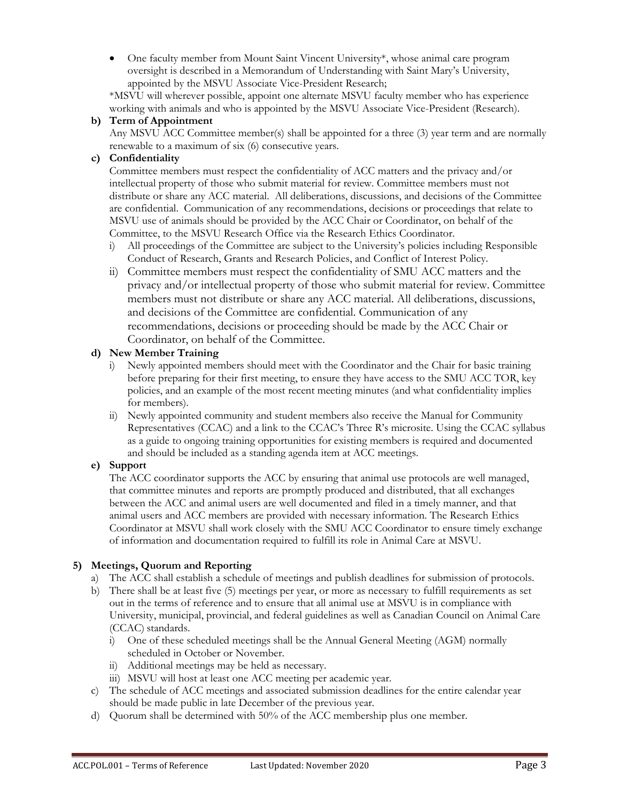• One faculty member from Mount Saint Vincent University\*, whose animal care program oversight is described in a Memorandum of Understanding with Saint Mary's University, appointed by the MSVU Associate Vice-President Research;

\*MSVU will wherever possible, appoint one alternate MSVU faculty member who has experience working with animals and who is appointed by the MSVU Associate Vice-President (Research).

# **b) Term of Appointment**

Any MSVU ACC Committee member(s) shall be appointed for a three (3) year term and are normally renewable to a maximum of six (6) consecutive years.

## **c) Confidentiality**

Committee members must respect the confidentiality of ACC matters and the privacy and/or intellectual property of those who submit material for review. Committee members must not distribute or share any ACC material. All deliberations, discussions, and decisions of the Committee are confidential. Communication of any recommendations, decisions or proceedings that relate to MSVU use of animals should be provided by the ACC Chair or Coordinator, on behalf of the Committee, to the MSVU Research Office via the Research Ethics Coordinator.

- i) All proceedings of the Committee are subject to the University's policies including Responsible Conduct of Research, Grants and Research Policies, and Conflict of Interest Policy.
- ii) Committee members must respect the confidentiality of SMU ACC matters and the privacy and/or intellectual property of those who submit material for review. Committee members must not distribute or share any ACC material. All deliberations, discussions, and decisions of the Committee are confidential. Communication of any recommendations, decisions or proceeding should be made by the ACC Chair or Coordinator, on behalf of the Committee.

## **d) New Member Training**

- i) Newly appointed members should meet with the Coordinator and the Chair for basic training before preparing for their first meeting, to ensure they have access to the SMU ACC TOR, key policies, and an example of the most recent meeting minutes (and what confidentiality implies for members).
- ii) Newly appointed community and student members also receive the Manual for Community Representatives (CCAC) and a link to the CCAC's Three R's microsite. Using the CCAC syllabus as a guide to ongoing training opportunities for existing members is required and documented and should be included as a standing agenda item at ACC meetings.

# **e) Support**

The ACC coordinator supports the ACC by ensuring that animal use protocols are well managed, that committee minutes and reports are promptly produced and distributed, that all exchanges between the ACC and animal users are well documented and filed in a timely manner, and that animal users and ACC members are provided with necessary information. The Research Ethics Coordinator at MSVU shall work closely with the SMU ACC Coordinator to ensure timely exchange of information and documentation required to fulfill its role in Animal Care at MSVU.

# **5) Meetings, Quorum and Reporting**

- a) The ACC shall establish a schedule of meetings and publish deadlines for submission of protocols.
- b) There shall be at least five (5) meetings per year, or more as necessary to fulfill requirements as set out in the terms of reference and to ensure that all animal use at MSVU is in compliance with University, municipal, provincial, and federal guidelines as well as Canadian Council on Animal Care (CCAC) standards.
	- i) One of these scheduled meetings shall be the Annual General Meeting (AGM) normally scheduled in October or November.
	- ii) Additional meetings may be held as necessary.
	- iii) MSVU will host at least one ACC meeting per academic year.
- c) The schedule of ACC meetings and associated submission deadlines for the entire calendar year should be made public in late December of the previous year.
- d) Quorum shall be determined with 50% of the ACC membership plus one member.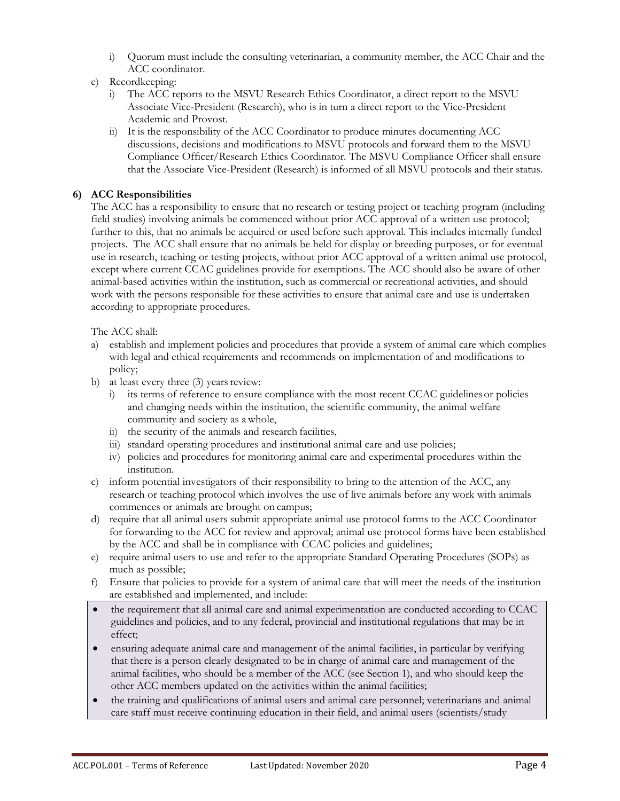- i) Quorum must include the consulting veterinarian, a community member, the ACC Chair and the ACC coordinator.
- e) Recordkeeping:
	- i) The ACC reports to the MSVU Research Ethics Coordinator, a direct report to the MSVU Associate Vice-President (Research), who is in turn a direct report to the Vice-President Academic and Provost.
	- ii) It is the responsibility of the ACC Coordinator to produce minutes documenting ACC discussions, decisions and modifications to MSVU protocols and forward them to the MSVU Compliance Officer/Research Ethics Coordinator. The MSVU Compliance Officer shall ensure that the Associate Vice-President (Research) is informed of all MSVU protocols and their status.

#### **6) ACC Responsibilities**

The ACC has a responsibility to ensure that no research or testing project or teaching program (including field studies) involving animals be commenced without prior ACC approval of a written use protocol; further to this, that no animals be acquired or used before such approval. This includes internally funded projects. The ACC shall ensure that no animals be held for display or breeding purposes, or for eventual use in research, teaching or testing projects, without prior ACC approval of a written animal use protocol, except where current CCAC guidelines provide for exemptions. The ACC should also be aware of other animal-based activities within the institution, such as commercial or recreational activities, and should work with the persons responsible for these activities to ensure that animal care and use is undertaken according to appropriate procedures.

The ACC shall:

- a) establish and implement policies and procedures that provide a system of animal care which complies with legal and ethical requirements and recommends on implementation of and modifications to policy;
- b) at least every three  $(3)$  years review:
	- i) its terms of reference to ensure compliance with the most recent CCAC guidelinesor policies and changing needs within the institution, the scientific community, the animal welfare community and society as awhole,
	- ii) the security of the animals and research facilities,
	- iii) standard operating procedures and institutional animal care and use policies;
	- iv) policies and procedures for monitoring animal care and experimental procedures within the institution.
- c) inform potential investigators of their responsibility to bring to the attention of the ACC, any research or teaching protocol which involves the use of live animals before any work with animals commences or animals are brought on campus;
- d) require that all animal users submit appropriate animal use protocol forms to the ACC Coordinator for forwarding to the ACC for review and approval; animal use protocol forms have been established by the ACC and shall be in compliance with CCAC policies and guidelines;
- e) require animal users to use and refer to the appropriate Standard Operating Procedures (SOPs) as much as possible;
- f) Ensure that policies to provide for a system of animal care that will meet the needs of the institution are established and implemented, and include:
- the requirement that all animal care and animal experimentation are conducted according to CCAC guidelines and policies, and to any federal, provincial and institutional regulations that may be in effect;
- ensuring adequate animal care and management of the animal facilities, in particular by verifying that there is a person clearly designated to be in charge of animal care and management of the animal facilities, who should be a member of the ACC (see Section 1), and who should keep the other ACC members updated on the activities within the animal facilities;
- the training and qualifications of animal users and animal care personnel; veterinarians and animal care staff must receive continuing education in their field, and animal users (scientists/study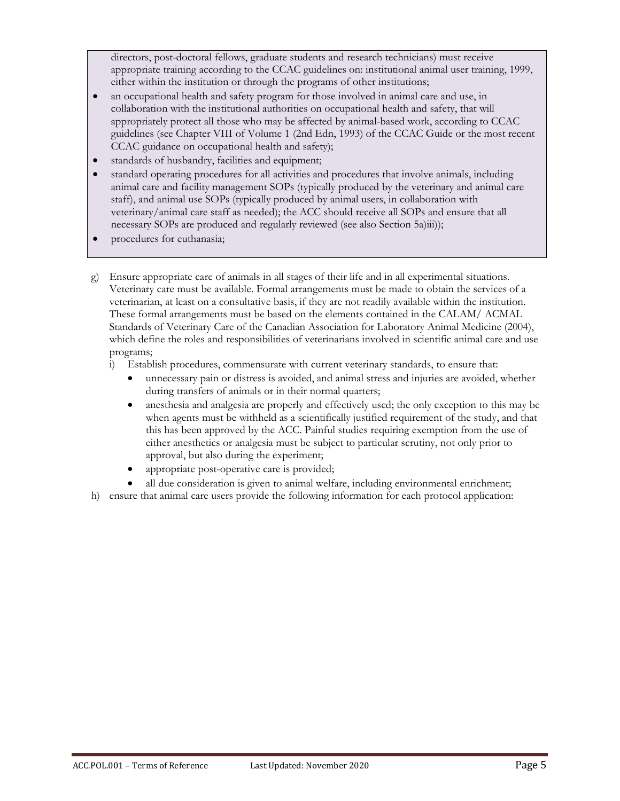directors, post-doctoral fellows, graduate students and research technicians) must receive appropriate training according to the CCAC guidelines on: institutional animal user training, 1999, either within the institution or through the programs of other institutions;

- an occupational health and safety program for those involved in animal care and use, in collaboration with the institutional authorities on occupational health and safety, that will appropriately protect all those who may be affected by animal-based work, according to CCAC guidelines (see Chapter VIII of Volume 1 (2nd Edn, 1993) of the CCAC Guide or the most recent CCAC guidance on occupational health and safety);
- standards of husbandry, facilities and equipment;
- standard operating procedures for all activities and procedures that involve animals, including animal care and facility management SOPs (typically produced by the veterinary and animal care staff), and animal use SOPs (typically produced by animal users, in collaboration with veterinary/animal care staff as needed); the ACC should receive all SOPs and ensure that all necessary SOPs are produced and regularly reviewed (see also Section 5a)iii));
- procedures for euthanasia;
- g) Ensure appropriate care of animals in all stages of their life and in all experimental situations. Veterinary care must be available. Formal arrangements must be made to obtain the services of a veterinarian, at least on a consultative basis, if they are not readily available within the institution. These formal arrangements must be based on the elements contained in the CALAM/ ACMAL Standards of Veterinary Care of the Canadian Association for Laboratory Animal Medicine (2004), which define the roles and responsibilities of veterinarians involved in scientific animal care and use programs;
	- i) Establish procedures, commensurate with current veterinary standards, to ensure that:
		- unnecessary pain or distress is avoided, and animal stress and injuries are avoided, whether during transfers of animals or in their normal quarters;
		- anesthesia and analgesia are properly and effectively used; the only exception to this may be when agents must be withheld as a scientifically justified requirement of the study, and that this has been approved by the ACC. Painful studies requiring exemption from the use of either anesthetics or analgesia must be subject to particular scrutiny, not only prior to approval, but also during the experiment;
		- appropriate post-operative care is provided;
		- all due consideration is given to animal welfare, including environmental enrichment;
- h) ensure that animal care users provide the following information for each protocol application: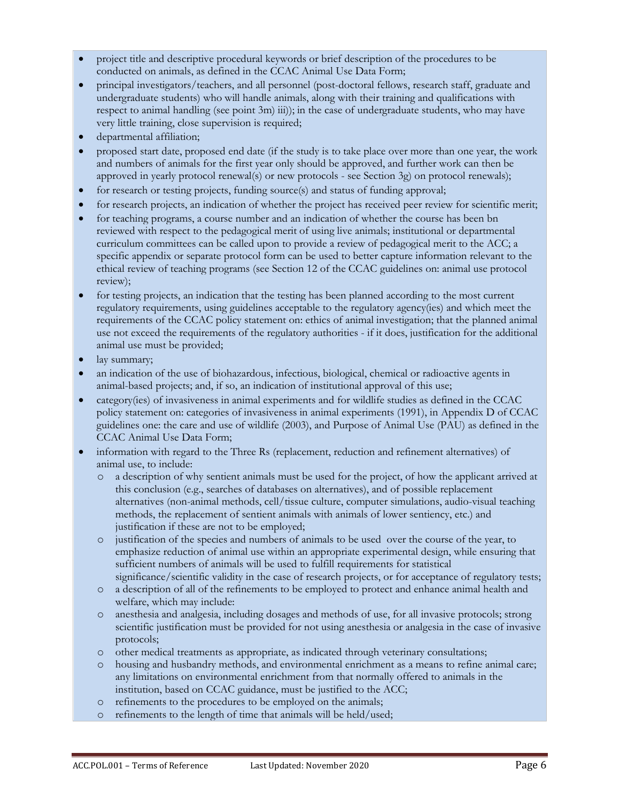- project title and descriptive procedural keywords or brief description of the procedures to be conducted on animals, as defined in the CCAC Animal Use Data Form;
- principal investigators/teachers, and all personnel (post-doctoral fellows, research staff, graduate and undergraduate students) who will handle animals, along with their training and qualifications with respect to animal handling (see point 3m) iii)); in the case of undergraduate students, who may have very little training, close supervision is required;
- departmental affiliation;
- proposed start date, proposed end date (if the study is to take place over more than one year, the work and numbers of animals for the first year only should be approved, and further work can then be approved in yearly protocol renewal(s) or new protocols - see Section 3g) on protocol renewals);
- for research or testing projects, funding source(s) and status of funding approval;
- for research projects, an indication of whether the project has received peer review for scientific merit;
- for teaching programs, a course number and an indication of whether the course has been bn reviewed with respect to the pedagogical merit of using live animals; institutional or departmental curriculum committees can be called upon to provide a review of pedagogical merit to the ACC; a specific appendix or separate protocol form can be used to better capture information relevant to the ethical review of teaching programs (see Section 12 of the CCAC guidelines on: animal use protocol review);
- for testing projects, an indication that the testing has been planned according to the most current regulatory requirements, using guidelines acceptable to the regulatory agency(ies) and which meet the requirements of the CCAC policy statement on: ethics of animal investigation; that the planned animal use not exceed the requirements of the regulatory authorities - if it does, justification for the additional animal use must be provided;
- lay summary;
- an indication of the use of biohazardous, infectious, biological, chemical or radioactive agents in animal-based projects; and, if so, an indication of institutional approval of this use;
- category(ies) of invasiveness in animal experiments and for wildlife studies as defined in the CCAC policy statement on: categories of invasiveness in animal experiments (1991), in Appendix D of CCAC guidelines one: the care and use of wildlife (2003), and Purpose of Animal Use (PAU) as defined in the CCAC Animal Use Data Form;
- information with regard to the Three Rs (replacement, reduction and refinement alternatives) of animal use, to include:
	- o a description of why sentient animals must be used for the project, of how the applicant arrived at this conclusion (e.g., searches of databases on alternatives), and of possible replacement alternatives (non-animal methods, cell/tissue culture, computer simulations, audio-visual teaching methods, the replacement of sentient animals with animals of lower sentiency, etc.) and justification if these are not to be employed;
	- o justification of the species and numbers of animals to be used over the course of the year, to emphasize reduction of animal use within an appropriate experimental design, while ensuring that sufficient numbers of animals will be used to fulfill requirements for statistical significance/scientific validity in the case of research projects, or for acceptance of regulatory tests;
	- o a description of all of the refinements to be employed to protect and enhance animal health and welfare, which may include:
	- o anesthesia and analgesia, including dosages and methods of use, for all invasive protocols; strong scientific justification must be provided for not using anesthesia or analgesia in the case of invasive protocols;
	- o other medical treatments as appropriate, as indicated through veterinary consultations;
	- o housing and husbandry methods, and environmental enrichment as a means to refine animal care; any limitations on environmental enrichment from that normally offered to animals in the institution, based on CCAC guidance, must be justified to the ACC;
	- o refinements to the procedures to be employed on the animals;
	- o refinements to the length of time that animals will be held/used;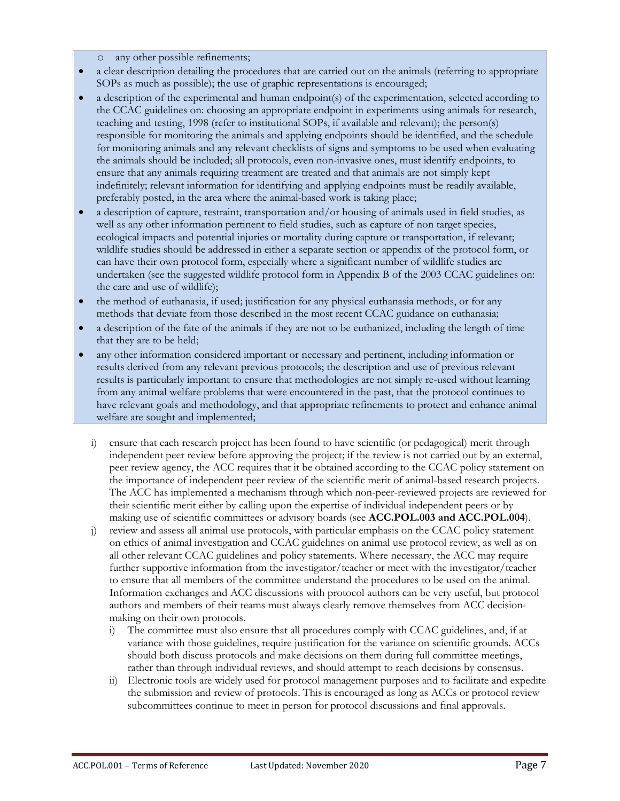- o any other possible refinements;
- a clear description detailing the procedures that are carried out on the animals (referring to appropriate SOPs as much as possible); the use of graphic representations is encouraged;
- a description of the experimental and human endpoint(s) of the experimentation, selected according to the CCAC guidelines on: choosing an appropriate endpoint in experiments using animals for research, teaching and testing, 1998 (refer to institutional SOPs, if available and relevant); the person(s) responsible for monitoring the animals and applying endpoints should be identified, and the schedule for monitoring animals and any relevant checklists of signs and symptoms to be used when evaluating the animals should be included; all protocols, even non-invasive ones, must identify endpoints, to ensure that any animals requiring treatment are treated and that animals are not simply kept indefinitely; relevant information for identifying and applying endpoints must be readily available, preferably posted, in the area where the animal-based work is taking place;
- a description of capture, restraint, transportation and/or housing of animals used in field studies, as well as any other information pertinent to field studies, such as capture of non target species, ecological impacts and potential injuries or mortality during capture or transportation, if relevant; wildlife studies should be addressed in either a separate section or appendix of the protocol form, or can have their own protocol form, especially where a significant number of wildlife studies are undertaken (see the suggested wildlife protocol form in Appendix B of the 2003 CCAC guidelines on: the care and use of wildlife);
- the method of euthanasia, if used; justification for any physical euthanasia methods, or for any methods that deviate from those described in the most recent CCAC guidance on euthanasia;
- a description of the fate of the animals if they are not to be euthanized, including the length of time that they are to be held;
- any other information considered important or necessary and pertinent, including information or results derived from any relevant previous protocols; the description and use of previous relevant results is particularly important to ensure that methodologies are not simply re-used without learning from any animal welfare problems that were encountered in the past, that the protocol continues to have relevant goals and methodology, and that appropriate refinements to protect and enhance animal welfare are sought and implemented;
	- i) ensure that each research project has been found to have scientific (or pedagogical) merit through independent peer review before approving the project; if the review is not carried out by an external, peer review agency, the ACC requires that it be obtained according to the CCAC policy statement on the importance of independent peer review of the scientific merit of animal-based research projects. The ACC has implemented a mechanism through which non-peer-reviewed projects are reviewed for their scientific merit either by calling upon the expertise of individual independent peers or by making use of scientific committees or advisory boards (see **ACC.POL.003 and ACC.POL.004**).
	- j) review and assess all animal use protocols, with particular emphasis on the CCAC policy statement on ethics of animal investigation and CCAC guidelines on animal use protocol review, as well as on all other relevant CCAC guidelines and policy statements. Where necessary, the ACC may require further supportive information from the investigator/teacher or meet with the investigator/teacher to ensure that all members of the committee understand the procedures to be used on the animal. Information exchanges and ACC discussions with protocol authors can be very useful, but protocol authors and members of their teams must always clearly remove themselves from ACC decisionmaking on their own protocols.
		- i) The committee must also ensure that all procedures comply with CCAC guidelines, and, if at variance with those guidelines, require justification for the variance on scientific grounds. ACCs should both discuss protocols and make decisions on them during full committee meetings, rather than through individual reviews, and should attempt to reach decisions by consensus.
		- ii) Electronic tools are widely used for protocol management purposes and to facilitate and expedite the submission and review of protocols. This is encouraged as long as ACCs or protocol review subcommittees continue to meet in person for protocol discussions and final approvals.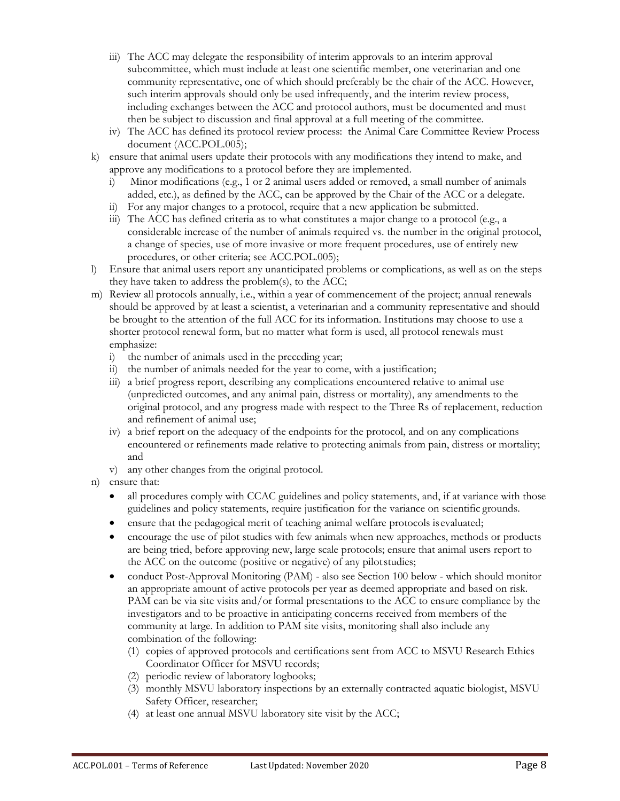- iii) The ACC may delegate the responsibility of interim approvals to an interim approval subcommittee, which must include at least one scientific member, one veterinarian and one community representative, one of which should preferably be the chair of the ACC. However, such interim approvals should only be used infrequently, and the interim review process, including exchanges between the ACC and protocol authors, must be documented and must then be subject to discussion and final approval at a full meeting of the committee.
- iv) The ACC has defined its protocol review process: the Animal Care Committee Review Process document (ACC.POL.005);
- k) ensure that animal users update their protocols with any modifications they intend to make, and approve any modifications to a protocol before they are implemented.
	- i) Minor modifications (e.g., 1 or 2 animal users added or removed, a small number of animals added, etc.), as defined by the ACC, can be approved by the Chair of the ACC or a delegate.
	- ii) For any major changes to a protocol, require that a new application be submitted.
	- iii) The ACC has defined criteria as to what constitutes a major change to a protocol (e.g., a considerable increase of the number of animals required vs. the number in the original protocol, a change of species, use of more invasive or more frequent procedures, use of entirely new procedures, or other criteria; see ACC.POL.005);
- l) Ensure that animal users report any unanticipated problems or complications, as well as on the steps they have taken to address the problem(s), to the ACC;
- m) Review all protocols annually, i.e., within a year of commencement of the project; annual renewals should be approved by at least a scientist, a veterinarian and a community representative and should be brought to the attention of the full ACC for its information. Institutions may choose to use a shorter protocol renewal form, but no matter what form is used, all protocol renewals must emphasize:
	- i) the number of animals used in the preceding year;
	- ii) the number of animals needed for the year to come, with a justification;
	- iii) a brief progress report, describing any complications encountered relative to animal use (unpredicted outcomes, and any animal pain, distress or mortality), any amendments to the original protocol, and any progress made with respect to the Three Rs of replacement, reduction and refinement of animal use;
	- iv) a brief report on the adequacy of the endpoints for the protocol, and on any complications encountered or refinements made relative to protecting animals from pain, distress or mortality; and
	- v) any other changes from the original protocol.
- n) ensure that:
	- all procedures comply with CCAC guidelines and policy statements, and, if at variance with those guidelines and policy statements, require justification for the variance on scientific grounds.
	- ensure that the pedagogical merit of teaching animal welfare protocols is evaluated;
	- encourage the use of pilot studies with few animals when new approaches, methods or products are being tried, before approving new, large scale protocols; ensure that animal users report to the ACC on the outcome (positive or negative) of any pilotstudies;
	- conduct Post-Approval Monitoring (PAM) also see Section 100 below which should monitor an appropriate amount of active protocols per year as deemed appropriate and based on risk. PAM can be via site visits and/or formal presentations to the ACC to ensure compliance by the investigators and to be proactive in anticipating concerns received from members of the community at large. In addition to PAM site visits, monitoring shall also include any combination of the following:
		- (1) copies of approved protocols and certifications sent from ACC to MSVU Research Ethics Coordinator Officer for MSVU records;
		- (2) periodic review of laboratory logbooks;
		- (3) monthly MSVU laboratory inspections by an externally contracted aquatic biologist, MSVU Safety Officer, researcher;
		- (4) at least one annual MSVU laboratory site visit by the ACC;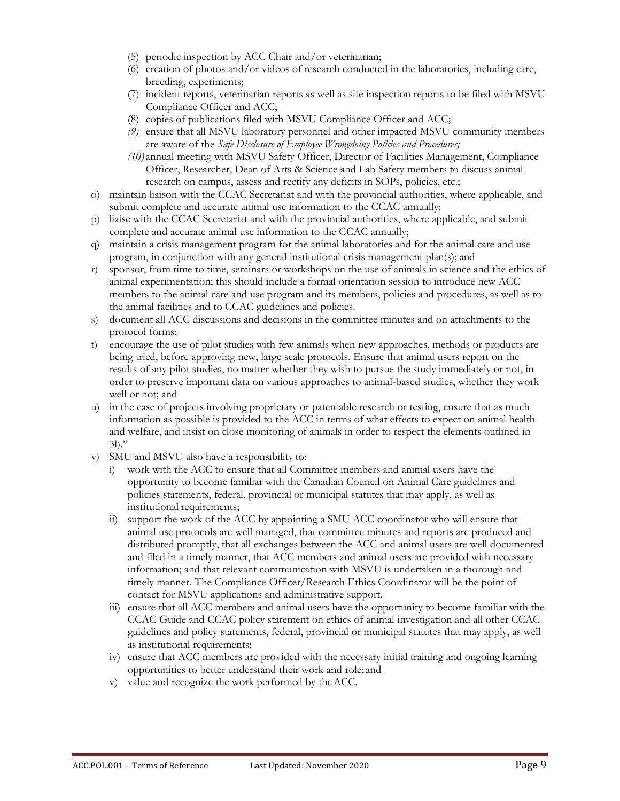- (5) periodic inspection by ACC Chair and/or veterinarian;
- (6) creation of photos and/or videos of research conducted in the laboratories, including care, breeding, experiments;
- (7) incident reports, veterinarian reports as well as site inspection reports to be filed with MSVU Compliance Officer and ACC;
- (8) copies of publications filed with MSVU Compliance Officer and ACC;
- *(9)* ensure that all MSVU laboratory personnel and other impacted MSVU community members are aware of the *Safe Disclosure of Employee Wrongdoing Policies and Procedures;*
- *(10)* annual meeting with MSVU Safety Officer, Director of Facilities Management, Compliance Officer, Researcher, Dean of Arts & Science and Lab Safety members to discuss animal research on campus, assess and rectify any deficits in SOPs, policies, etc.;
- o) maintain liaison with the CCAC Secretariat and with the provincial authorities, where applicable, and submit complete and accurate animal use information to the CCAC annually;
- p) liaise with the CCAC Secretariat and with the provincial authorities, where applicable, and submit complete and accurate animal use information to the CCAC annually;
- q) maintain a crisis management program for the animal laboratories and for the animal care and use program, in conjunction with any general institutional crisis management plan(s); and
- r) sponsor, from time to time, seminars or workshops on the use of animals in science and the ethics of animal experimentation; this should include a formal orientation session to introduce new ACC members to the animal care and use program and its members, policies and procedures, as well as to the animal facilities and to CCAC guidelines and policies.
- s) document all ACC discussions and decisions in the committee minutes and on attachments to the protocol forms;
- t) encourage the use of pilot studies with few animals when new approaches, methods or products are being tried, before approving new, large scale protocols. Ensure that animal users report on the results of any pilot studies, no matter whether they wish to pursue the study immediately or not, in order to preserve important data on various approaches to animal-based studies, whether they work well or not; and
- u) in the case of projects involving proprietary or patentable research or testing, ensure that as much information as possible is provided to the ACC in terms of what effects to expect on animal health and welfare, and insist on close monitoring of animals in order to respect the elements outlined in  $3$ ])."
- v) SMU and MSVU also have a responsibility to:
	- i) work with the ACC to ensure that all Committee members and animal users have the opportunity to become familiar with the Canadian Council on Animal Care guidelines and policies statements, federal, provincial or municipal statutes that may apply, as well as institutional requirements;
	- ii) support the work of the ACC by appointing a SMU ACC coordinator who will ensure that animal use protocols are well managed, that committee minutes and reports are produced and distributed promptly, that all exchanges between the ACC and animal users are well documented and filed in a timely manner, that ACC members and animal users are provided with necessary information; and that relevant communication with MSVU is undertaken in a thorough and timely manner. The Compliance Officer/Research Ethics Coordinator will be the point of contact for MSVU applications and administrative support.
	- iii) ensure that all ACC members and animal users have the opportunity to become familiar with the CCAC Guide and CCAC policy statement on ethics of animal investigation and all other CCAC guidelines and policy statements, federal, provincial or municipal statutes that may apply, as well as institutional requirements;
	- iv) ensure that ACC members are provided with the necessary initial training and ongoing learning opportunities to better understand their work and role; and
	- v) value and recognize the work performed by theACC.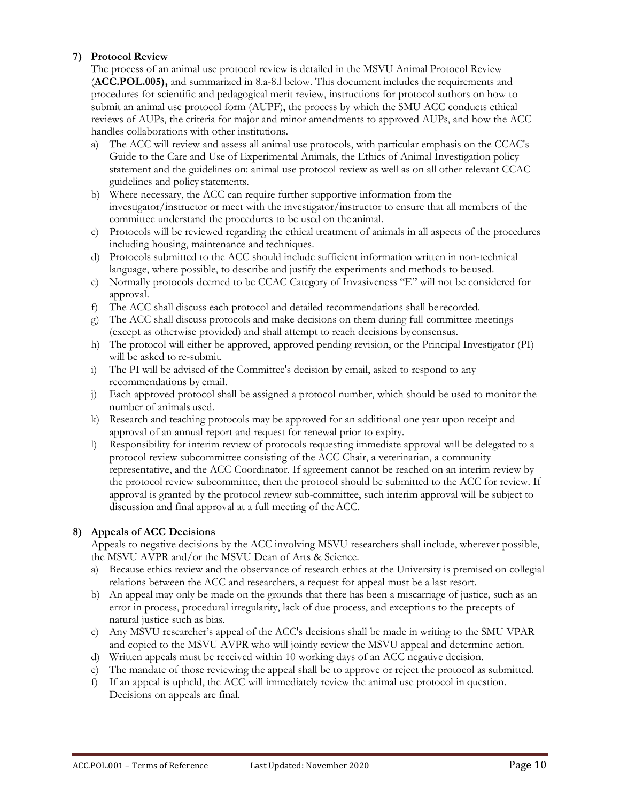# **7) Protocol Review**

The process of an animal use protocol review is detailed in the MSVU Animal Protocol Review (**ACC.POL.005),** and summarized in 8.a-8.l below. This document includes the requirements and procedures for scientific and pedagogical merit review, instructions for protocol authors on how to submit an animal use protocol form (AUPF), the process by which the SMU ACC conducts ethical reviews of AUPs, the criteria for major and minor amendments to approved AUPs, and how the ACC handles collaborations with other institutions.

- a) The ACC will review and assess all animal use protocols, with particular emphasis on the CCAC's Guide to the Care and Use of Experimental Animals, the Ethics of Animal Investigation policy statement and the guidelines on: animal use protocol review as well as on all other relevant CCAC guidelines and policy statements.
- b) Where necessary, the ACC can require further supportive information from the investigator/instructor or meet with the investigator/instructor to ensure that all members of the committee understand the procedures to be used on the animal.
- c) Protocols will be reviewed regarding the ethical treatment of animals in all aspects of the procedures including housing, maintenance and techniques.
- d) Protocols submitted to the ACC should include sufficient information written in non-technical language, where possible, to describe and justify the experiments and methods to beused.
- e) Normally protocols deemed to be CCAC Category of Invasiveness "E" will not be considered for approval.
- f) The ACC shall discuss each protocol and detailed recommendations shall be recorded.
- g) The ACC shall discuss protocols and make decisions on them during full committee meetings (except as otherwise provided) and shall attempt to reach decisions byconsensus.
- h) The protocol will either be approved, approved pending revision, or the Principal Investigator (PI) will be asked to re-submit.
- i) The PI will be advised of the Committee's decision by email, asked to respond to any recommendations by email.
- j) Each approved protocol shall be assigned a protocol number, which should be used to monitor the number of animals used.
- k) Research and teaching protocols may be approved for an additional one year upon receipt and approval of an annual report and request for renewal prior to expiry.
- l) Responsibility for interim review of protocols requesting immediate approval will be delegated to a protocol review subcommittee consisting of the ACC Chair, a veterinarian, a community representative, and the ACC Coordinator. If agreement cannot be reached on an interim review by the protocol review subcommittee, then the protocol should be submitted to the ACC for review. If approval is granted by the protocol review sub-committee, such interim approval will be subject to discussion and final approval at a full meeting of theACC.

#### **8) Appeals of ACC Decisions**

Appeals to negative decisions by the ACC involving MSVU researchers shall include, wherever possible, the MSVU AVPR and/or the MSVU Dean of Arts & Science.

- a) Because ethics review and the observance of research ethics at the University is premised on collegial relations between the ACC and researchers, a request for appeal must be a last resort.
- b) An appeal may only be made on the grounds that there has been a miscarriage of justice, such as an error in process, procedural irregularity, lack of due process, and exceptions to the precepts of natural justice such as bias.
- c) Any MSVU researcher's appeal of the ACC's decisions shall be made in writing to the SMU VPAR and copied to the MSVU AVPR who will jointly review the MSVU appeal and determine action.
- d) Written appeals must be received within 10 working days of an ACC negative decision.
- e) The mandate of those reviewing the appeal shall be to approve or reject the protocol as submitted.
- f) If an appeal is upheld, the ACC will immediately review the animal use protocol in question. Decisions on appeals are final.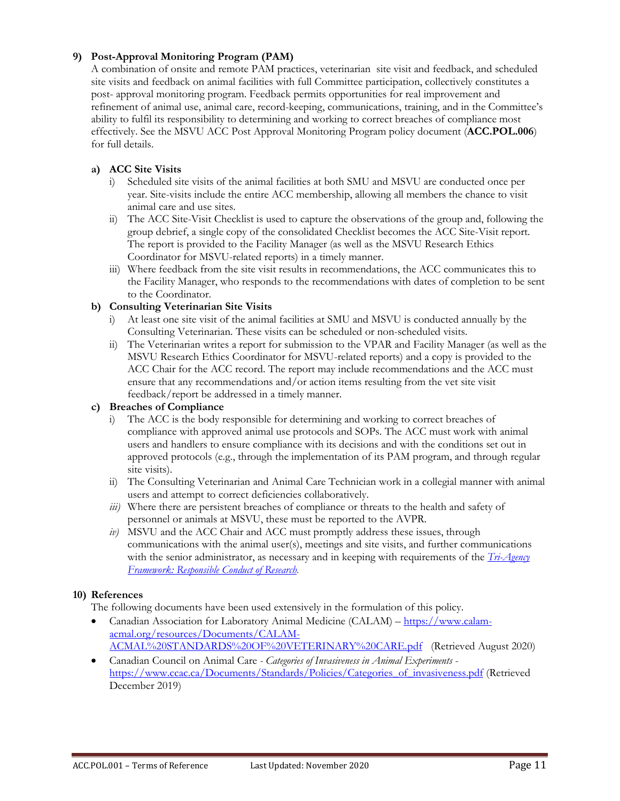# **9) Post-Approval Monitoring Program (PAM)**

A combination of onsite and remote PAM practices, veterinarian site visit and feedback, and scheduled site visits and feedback on animal facilities with full Committee participation, collectively constitutes a post- approval monitoring program. Feedback permits opportunities for real improvement and refinement of animal use, animal care, record-keeping, communications, training, and in the Committee's ability to fulfil its responsibility to determining and working to correct breaches of compliance most effectively. See the MSVU ACC Post Approval Monitoring Program policy document (**ACC.POL.006**) for full details.

## **a) ACC Site Visits**

- i) Scheduled site visits of the animal facilities at both SMU and MSVU are conducted once per year. Site-visits include the entire ACC membership, allowing all members the chance to visit animal care and use sites.
- ii) The ACC Site-Visit Checklist is used to capture the observations of the group and, following the group debrief, a single copy of the consolidated Checklist becomes the ACC Site-Visit report. The report is provided to the Facility Manager (as well as the MSVU Research Ethics Coordinator for MSVU-related reports) in a timely manner.
- iii) Where feedback from the site visit results in recommendations, the ACC communicates this to the Facility Manager, who responds to the recommendations with dates of completion to be sent to the Coordinator.

## **b) Consulting Veterinarian Site Visits**

- i) At least one site visit of the animal facilities at SMU and MSVU is conducted annually by the Consulting Veterinarian. These visits can be scheduled or non-scheduled visits.
- ii) The Veterinarian writes a report for submission to the VPAR and Facility Manager (as well as the MSVU Research Ethics Coordinator for MSVU-related reports) and a copy is provided to the ACC Chair for the ACC record. The report may include recommendations and the ACC must ensure that any recommendations and/or action items resulting from the vet site visit feedback/report be addressed in a timely manner.

#### **c) Breaches of Compliance**

- i) The ACC is the body responsible for determining and working to correct breaches of compliance with approved animal use protocols and SOPs. The ACC must work with animal users and handlers to ensure compliance with its decisions and with the conditions set out in approved protocols (e.g., through the implementation of its PAM program, and through regular site visits).
- ii) The Consulting Veterinarian and Animal Care Technician work in a collegial manner with animal users and attempt to correct deficiencies collaboratively.
- *iii*) Where there are persistent breaches of compliance or threats to the health and safety of personnel or animals at MSVU, these must be reported to the AVPR.
- *iv)* MSVU and the ACC Chair and ACC must promptly address these issues, through communications with the animal user(s), meetings and site visits, and further communications with the senior administrator, as necessary and in keeping with requirements of the *[Tri-Agency](https://rcr.ethics.gc.ca/eng/framework-cadre.html)  [Framework: Responsible Conduct of Research.](https://rcr.ethics.gc.ca/eng/framework-cadre.html)*

#### **10) References**

The following documents have been used extensively in the formulation of this policy.

- Canadian Association for Laboratory Animal Medicine (CALAM) [https://www.calam](https://www.calam-acmal.org/resources/Documents/CALAM-%20ACMAL%20STANDARDS%20OF%20VETERINARY%20CARE.pdf)[acmal.org/resources/Documents/CALAM-](https://www.calam-acmal.org/resources/Documents/CALAM-%20ACMAL%20STANDARDS%20OF%20VETERINARY%20CARE.pdf)[ACMAL%20STANDARDS%20OF%20VETERINARY%20CARE.pdf](https://www.calam-acmal.org/resources/Documents/CALAM-%20ACMAL%20STANDARDS%20OF%20VETERINARY%20CARE.pdf) (Retrieved August 2020)
- Canadian Council on Animal Care *- Categories of Invasiveness in Animal Experiments* [https://www.ccac.ca/Documents/Standards/Policies/Categories\\_of\\_invasiveness.pdf](https://www.ccac.ca/Documents/Standards/Policies/Categories_of_invasiveness.pdf) (Retrieved December 2019)